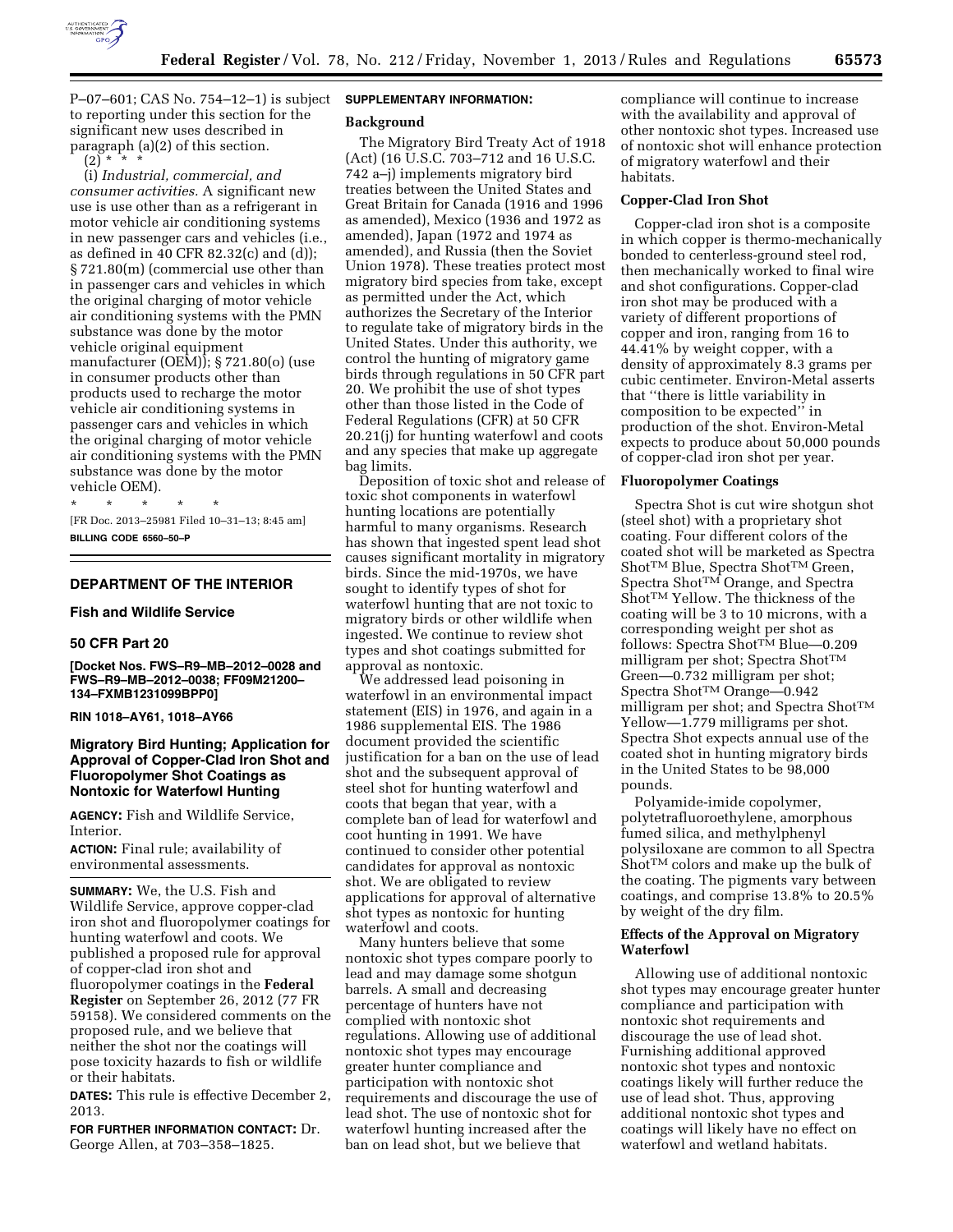

P–07–601; CAS No. 754–12–1) is subject to reporting under this section for the significant new uses described in paragraph (a)(2) of this section.  $(2)$ <sup>\*</sup>  $*$ 

(i) *Industrial, commercial, and consumer activities.* A significant new use is use other than as a refrigerant in motor vehicle air conditioning systems in new passenger cars and vehicles (i.e., as defined in 40 CFR 82.32(c) and (d)); § 721.80(m) (commercial use other than in passenger cars and vehicles in which the original charging of motor vehicle air conditioning systems with the PMN substance was done by the motor vehicle original equipment manufacturer (OEM)); § 721.80(o) (use in consumer products other than products used to recharge the motor vehicle air conditioning systems in passenger cars and vehicles in which the original charging of motor vehicle air conditioning systems with the PMN substance was done by the motor vehicle OEM).

\* \* \* \* \* [FR Doc. 2013–25981 Filed 10–31–13; 8:45 am] **BILLING CODE 6560–50–P** 

# **DEPARTMENT OF THE INTERIOR**

#### **Fish and Wildlife Service**

#### **50 CFR Part 20**

**[Docket Nos. FWS–R9–MB–2012–0028 and FWS–R9–MB–2012–0038; FF09M21200– 134–FXMB1231099BPP0]** 

**RIN 1018–AY61, 1018–AY66** 

## **Migratory Bird Hunting; Application for Approval of Copper-Clad Iron Shot and Fluoropolymer Shot Coatings as Nontoxic for Waterfowl Hunting**

**AGENCY:** Fish and Wildlife Service, Interior.

**ACTION:** Final rule; availability of environmental assessments.

**SUMMARY:** We, the U.S. Fish and Wildlife Service, approve copper-clad iron shot and fluoropolymer coatings for hunting waterfowl and coots. We published a proposed rule for approval of copper-clad iron shot and fluoropolymer coatings in the **Federal Register** on September 26, 2012 (77 FR 59158). We considered comments on the proposed rule, and we believe that neither the shot nor the coatings will pose toxicity hazards to fish or wildlife or their habitats.

**DATES:** This rule is effective December 2, 2013.

**FOR FURTHER INFORMATION CONTACT:** Dr. George Allen, at 703–358–1825.

# **SUPPLEMENTARY INFORMATION:**

#### **Background**

The Migratory Bird Treaty Act of 1918 (Act) (16 U.S.C. 703–712 and 16 U.S.C. 742 a–j) implements migratory bird treaties between the United States and Great Britain for Canada (1916 and 1996 as amended), Mexico (1936 and 1972 as amended), Japan (1972 and 1974 as amended), and Russia (then the Soviet Union 1978). These treaties protect most migratory bird species from take, except as permitted under the Act, which authorizes the Secretary of the Interior to regulate take of migratory birds in the United States. Under this authority, we control the hunting of migratory game birds through regulations in 50 CFR part 20. We prohibit the use of shot types other than those listed in the Code of Federal Regulations (CFR) at 50 CFR 20.21(j) for hunting waterfowl and coots and any species that make up aggregate bag limits.

Deposition of toxic shot and release of toxic shot components in waterfowl hunting locations are potentially harmful to many organisms. Research has shown that ingested spent lead shot causes significant mortality in migratory birds. Since the mid-1970s, we have sought to identify types of shot for waterfowl hunting that are not toxic to migratory birds or other wildlife when ingested. We continue to review shot types and shot coatings submitted for approval as nontoxic.

We addressed lead poisoning in waterfowl in an environmental impact statement (EIS) in 1976, and again in a 1986 supplemental EIS. The 1986 document provided the scientific justification for a ban on the use of lead shot and the subsequent approval of steel shot for hunting waterfowl and coots that began that year, with a complete ban of lead for waterfowl and coot hunting in 1991. We have continued to consider other potential candidates for approval as nontoxic shot. We are obligated to review applications for approval of alternative shot types as nontoxic for hunting waterfowl and coots.

Many hunters believe that some nontoxic shot types compare poorly to lead and may damage some shotgun barrels. A small and decreasing percentage of hunters have not complied with nontoxic shot regulations. Allowing use of additional nontoxic shot types may encourage greater hunter compliance and participation with nontoxic shot requirements and discourage the use of lead shot. The use of nontoxic shot for waterfowl hunting increased after the ban on lead shot, but we believe that

compliance will continue to increase with the availability and approval of other nontoxic shot types. Increased use of nontoxic shot will enhance protection of migratory waterfowl and their habitats.

#### **Copper-Clad Iron Shot**

Copper-clad iron shot is a composite in which copper is thermo-mechanically bonded to centerless-ground steel rod, then mechanically worked to final wire and shot configurations. Copper-clad iron shot may be produced with a variety of different proportions of copper and iron, ranging from 16 to 44.41% by weight copper, with a density of approximately 8.3 grams per cubic centimeter. Environ-Metal asserts that ''there is little variability in composition to be expected'' in production of the shot. Environ-Metal expects to produce about 50,000 pounds of copper-clad iron shot per year.

#### **Fluoropolymer Coatings**

Spectra Shot is cut wire shotgun shot (steel shot) with a proprietary shot coating. Four different colors of the coated shot will be marketed as Spectra Shot<sup>™</sup> Blue, Spectra Shot<sup>™</sup> Green, Spectra Shot<sup>TM</sup> Orange, and Spectra Shot<sup>TM</sup> Yellow. The thickness of the coating will be 3 to 10 microns, with a corresponding weight per shot as follows: Spectra Shot™ Blue—0.209 milligram per shot; Spectra ShotTM Green—0.732 milligram per shot; Spectra Shot™ Orange—0.942 milligram per shot; and Spectra ShotTM Yellow—1.779 milligrams per shot. Spectra Shot expects annual use of the coated shot in hunting migratory birds in the United States to be 98,000 pounds.

Polyamide-imide copolymer, polytetrafluoroethylene, amorphous fumed silica, and methylphenyl polysiloxane are common to all Spectra Shot<sup>TM</sup> colors and make up the bulk of the coating. The pigments vary between coatings, and comprise 13.8% to 20.5% by weight of the dry film.

## **Effects of the Approval on Migratory Waterfowl**

Allowing use of additional nontoxic shot types may encourage greater hunter compliance and participation with nontoxic shot requirements and discourage the use of lead shot. Furnishing additional approved nontoxic shot types and nontoxic coatings likely will further reduce the use of lead shot. Thus, approving additional nontoxic shot types and coatings will likely have no effect on waterfowl and wetland habitats.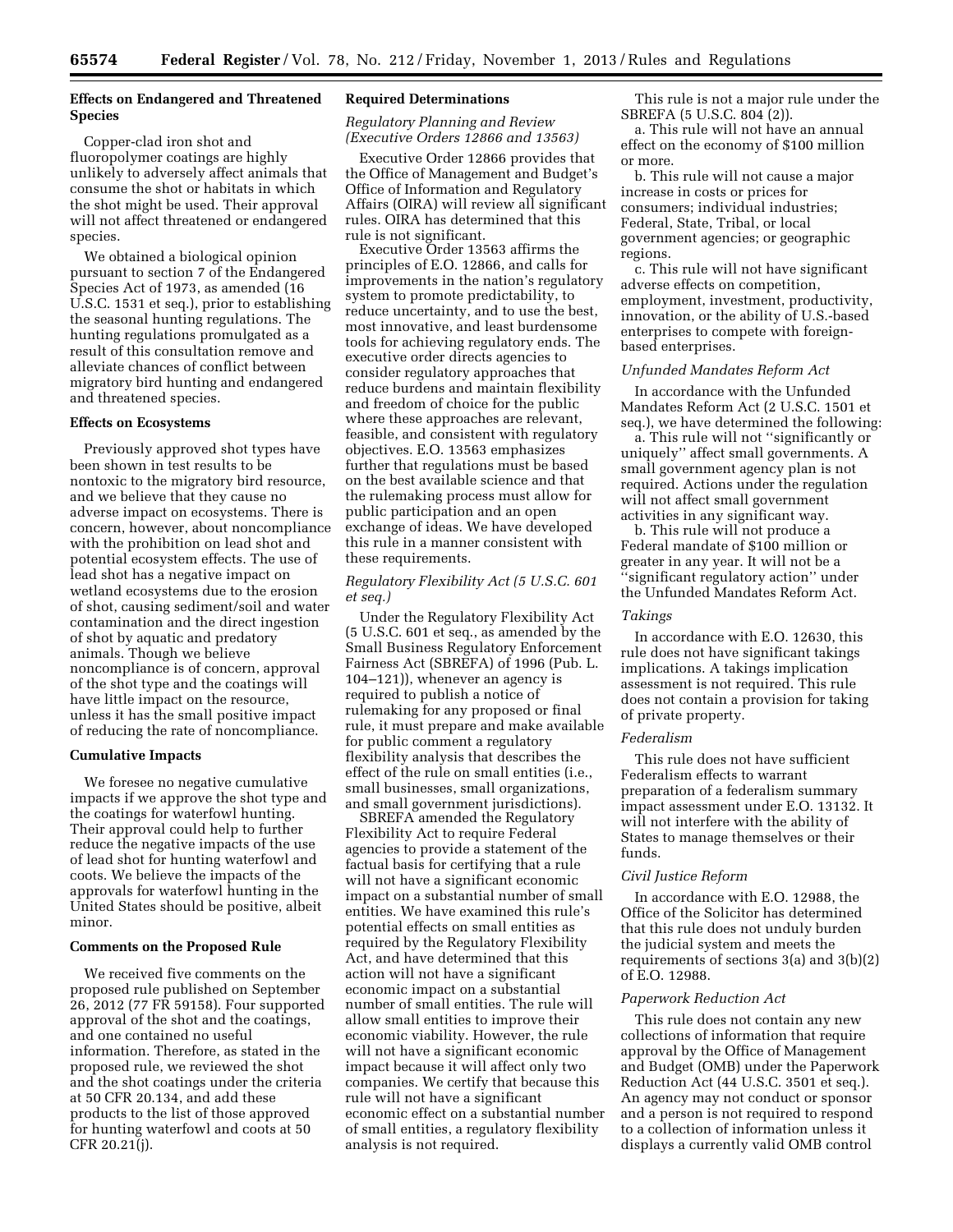# **Effects on Endangered and Threatened Species**

Copper-clad iron shot and fluoropolymer coatings are highly unlikely to adversely affect animals that consume the shot or habitats in which the shot might be used. Their approval will not affect threatened or endangered species.

We obtained a biological opinion pursuant to section 7 of the Endangered Species Act of 1973, as amended (16 U.S.C. 1531 et seq.), prior to establishing the seasonal hunting regulations. The hunting regulations promulgated as a result of this consultation remove and alleviate chances of conflict between migratory bird hunting and endangered and threatened species.

#### **Effects on Ecosystems**

Previously approved shot types have been shown in test results to be nontoxic to the migratory bird resource, and we believe that they cause no adverse impact on ecosystems. There is concern, however, about noncompliance with the prohibition on lead shot and potential ecosystem effects. The use of lead shot has a negative impact on wetland ecosystems due to the erosion of shot, causing sediment/soil and water contamination and the direct ingestion of shot by aquatic and predatory animals. Though we believe noncompliance is of concern, approval of the shot type and the coatings will have little impact on the resource, unless it has the small positive impact of reducing the rate of noncompliance.

## **Cumulative Impacts**

We foresee no negative cumulative impacts if we approve the shot type and the coatings for waterfowl hunting. Their approval could help to further reduce the negative impacts of the use of lead shot for hunting waterfowl and coots. We believe the impacts of the approvals for waterfowl hunting in the United States should be positive, albeit minor.

#### **Comments on the Proposed Rule**

We received five comments on the proposed rule published on September 26, 2012 (77 FR 59158). Four supported approval of the shot and the coatings, and one contained no useful information. Therefore, as stated in the proposed rule, we reviewed the shot and the shot coatings under the criteria at 50 CFR 20.134, and add these products to the list of those approved for hunting waterfowl and coots at 50 CFR 20.21(j).

## **Required Determinations**

*Regulatory Planning and Review (Executive Orders 12866 and 13563)* 

Executive Order 12866 provides that the Office of Management and Budget's Office of Information and Regulatory Affairs (OIRA) will review all significant rules. OIRA has determined that this rule is not significant.

Executive Order 13563 affirms the principles of E.O. 12866, and calls for improvements in the nation's regulatory system to promote predictability, to reduce uncertainty, and to use the best, most innovative, and least burdensome tools for achieving regulatory ends. The executive order directs agencies to consider regulatory approaches that reduce burdens and maintain flexibility and freedom of choice for the public where these approaches are relevant, feasible, and consistent with regulatory objectives. E.O. 13563 emphasizes further that regulations must be based on the best available science and that the rulemaking process must allow for public participation and an open exchange of ideas. We have developed this rule in a manner consistent with these requirements.

## *Regulatory Flexibility Act (5 U.S.C. 601 et seq.)*

Under the Regulatory Flexibility Act (5 U.S.C. 601 et seq., as amended by the Small Business Regulatory Enforcement Fairness Act (SBREFA) of 1996 (Pub. L. 104–121)), whenever an agency is required to publish a notice of rulemaking for any proposed or final rule, it must prepare and make available for public comment a regulatory flexibility analysis that describes the effect of the rule on small entities (i.e., small businesses, small organizations, and small government jurisdictions).

SBREFA amended the Regulatory Flexibility Act to require Federal agencies to provide a statement of the factual basis for certifying that a rule will not have a significant economic impact on a substantial number of small entities. We have examined this rule's potential effects on small entities as required by the Regulatory Flexibility Act, and have determined that this action will not have a significant economic impact on a substantial number of small entities. The rule will allow small entities to improve their economic viability. However, the rule will not have a significant economic impact because it will affect only two companies. We certify that because this rule will not have a significant economic effect on a substantial number of small entities, a regulatory flexibility analysis is not required.

This rule is not a major rule under the SBREFA (5 U.S.C. 804 (2)).

a. This rule will not have an annual effect on the economy of \$100 million or more.

b. This rule will not cause a major increase in costs or prices for consumers; individual industries; Federal, State, Tribal, or local government agencies; or geographic regions.

c. This rule will not have significant adverse effects on competition, employment, investment, productivity, innovation, or the ability of U.S.-based enterprises to compete with foreignbased enterprises.

## *Unfunded Mandates Reform Act*

In accordance with the Unfunded Mandates Reform Act (2 U.S.C. 1501 et seq.), we have determined the following:

a. This rule will not ''significantly or uniquely'' affect small governments. A small government agency plan is not required. Actions under the regulation will not affect small government activities in any significant way.

b. This rule will not produce a Federal mandate of \$100 million or greater in any year. It will not be a ''significant regulatory action'' under the Unfunded Mandates Reform Act.

# *Takings*

In accordance with E.O. 12630, this rule does not have significant takings implications. A takings implication assessment is not required. This rule does not contain a provision for taking of private property.

#### *Federalism*

This rule does not have sufficient Federalism effects to warrant preparation of a federalism summary impact assessment under E.O. 13132. It will not interfere with the ability of States to manage themselves or their funds.

#### *Civil Justice Reform*

In accordance with E.O. 12988, the Office of the Solicitor has determined that this rule does not unduly burden the judicial system and meets the requirements of sections 3(a) and 3(b)(2) of E.O. 12988.

#### *Paperwork Reduction Act*

This rule does not contain any new collections of information that require approval by the Office of Management and Budget (OMB) under the Paperwork Reduction Act (44 U.S.C. 3501 et seq.). An agency may not conduct or sponsor and a person is not required to respond to a collection of information unless it displays a currently valid OMB control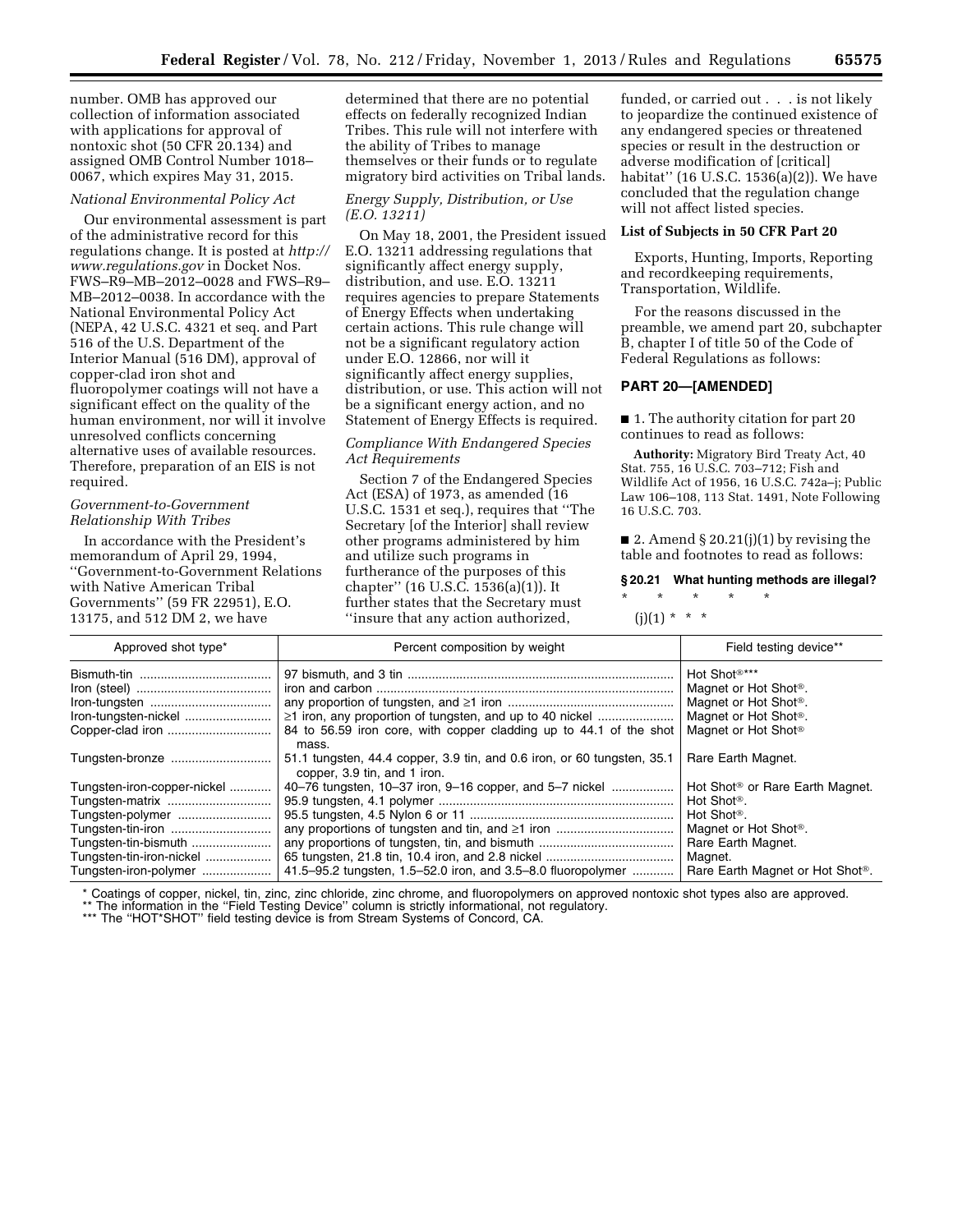number. OMB has approved our collection of information associated with applications for approval of nontoxic shot (50 CFR 20.134) and assigned OMB Control Number 1018– 0067, which expires May 31, 2015.

#### *National Environmental Policy Act*

Our environmental assessment is part of the administrative record for this regulations change. It is posted at *[http://](http://www.regulations.gov)  [www.regulations.gov](http://www.regulations.gov)* in Docket Nos. FWS–R9–MB–2012–0028 and FWS–R9– MB–2012–0038. In accordance with the National Environmental Policy Act (NEPA, 42 U.S.C. 4321 et seq. and Part 516 of the U.S. Department of the Interior Manual (516 DM), approval of copper-clad iron shot and fluoropolymer coatings will not have a significant effect on the quality of the human environment, nor will it involve unresolved conflicts concerning alternative uses of available resources. Therefore, preparation of an EIS is not required.

# *Government-to-Government Relationship With Tribes*

In accordance with the President's memorandum of April 29, 1994, ''Government-to-Government Relations with Native American Tribal Governments'' (59 FR 22951), E.O. 13175, and 512 DM 2, we have

determined that there are no potential effects on federally recognized Indian Tribes. This rule will not interfere with the ability of Tribes to manage themselves or their funds or to regulate migratory bird activities on Tribal lands.

## *Energy Supply, Distribution, or Use (E.O. 13211)*

On May 18, 2001, the President issued E.O. 13211 addressing regulations that significantly affect energy supply, distribution, and use. E.O. 13211 requires agencies to prepare Statements of Energy Effects when undertaking certain actions. This rule change will not be a significant regulatory action under E.O. 12866, nor will it significantly affect energy supplies, distribution, or use. This action will not be a significant energy action, and no Statement of Energy Effects is required.

## *Compliance With Endangered Species Act Requirements*

Section 7 of the Endangered Species Act (ESA) of 1973, as amended (16 U.S.C. 1531 et seq.), requires that ''The Secretary [of the Interior] shall review other programs administered by him and utilize such programs in furtherance of the purposes of this chapter'' (16 U.S.C. 1536(a)(1)). It further states that the Secretary must ''insure that any action authorized,

funded, or carried out . . . is not likely to jeopardize the continued existence of any endangered species or threatened species or result in the destruction or adverse modification of [critical] habitat'' (16 U.S.C. 1536(a)(2)). We have concluded that the regulation change will not affect listed species.

#### **List of Subjects in 50 CFR Part 20**

Exports, Hunting, Imports, Reporting and recordkeeping requirements, Transportation, Wildlife.

For the reasons discussed in the preamble, we amend part 20, subchapter B, chapter I of title 50 of the Code of Federal Regulations as follows:

## **PART 20—[AMENDED]**

■ 1. The authority citation for part 20 continues to read as follows:

**Authority:** Migratory Bird Treaty Act, 40 Stat. 755, 16 U.S.C. 703–712; Fish and Wildlife Act of 1956, 16 U.S.C. 742a–j; Public Law 106–108, 113 Stat. 1491, Note Following 16 U.S.C. 703.

■ 2. Amend § 20.21(j)(1) by revising the table and footnotes to read as follows:

# **§ 20.21 What hunting methods are illegal?**

\* \* \* \* \*  $(i)(1) * * * *$ 

| Approved shot type*                                                                                                                                                  | Percent composition by weight                                                                                                        | Field testing device**                                                                                                                                                                                                  |
|----------------------------------------------------------------------------------------------------------------------------------------------------------------------|--------------------------------------------------------------------------------------------------------------------------------------|-------------------------------------------------------------------------------------------------------------------------------------------------------------------------------------------------------------------------|
| Iron-tungsten-nickel                                                                                                                                                 | $\geq$ 1 iron, any proportion of tungsten, and up to 40 nickel<br>84 to 56.59 iron core, with copper cladding up to 44.1 of the shot | Hot Shot <sup>®***</sup><br>Magnet or Hot Shot <sup>®</sup> .<br>Magnet or Hot Shot <sup>®</sup> .<br>Magnet or Hot Shot <sup>®</sup> .<br>Magnet or Hot Shot <sup>®</sup>                                              |
| Tungsten-bronze                                                                                                                                                      | mass.<br>51.1 tungsten, 44.4 copper, 3.9 tin, and 0.6 iron, or 60 tungsten, 35.1<br>copper, 3.9 tin, and 1 iron.                     | Rare Earth Magnet.                                                                                                                                                                                                      |
| Tungsten-iron-copper-nickel<br>Tungsten-matrix<br>Tungsten-polymer<br>Tungsten-tin-iron<br>Tungsten-tin-bismuth<br>Tungsten-tin-iron-nickel<br>Tungsten-iron-polymer | 40–76 tungsten, 10–37 iron, 9–16 copper, and 5–7 nickel<br>41.5–95.2 tungsten, 1.5–52.0 iron, and 3.5–8.0 fluoropolymer              | Hot Shot <sup>®</sup> or Rare Earth Magnet.<br>Hot Shot <sup>®</sup> .<br>Hot Shot <sup>®</sup> .<br>Magnet or Hot Shot <sup>®</sup> .<br>Rare Earth Magnet.<br>Magnet.<br>Rare Earth Magnet or Hot Shot <sup>®</sup> . |

\* Coatings of copper, nickel, tin, zinc, zinc chloride, zinc chrome, and fluoropolymers on approved nontoxic shot types also are approved.

\*\* The information in the "Field Testing Device" column is strictly informational, not regulatory.

\*\*\* The "HOT\*SHOT" field testing device is from Stream Systems of Concord, CA.